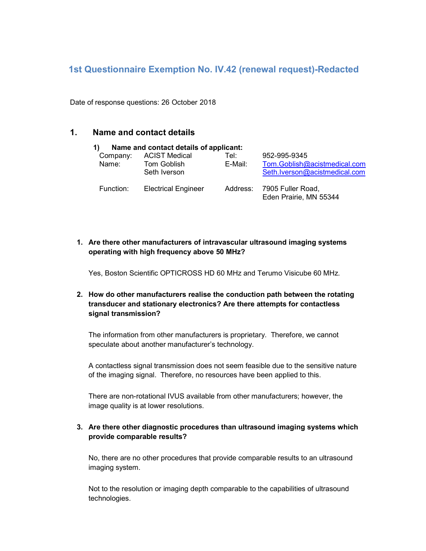# 1st Questionnaire Exemption No. IV.42 (renewal request)-Redacted

Date of response questions: 26 October 2018

## 1. Name and contact details

| Name and contact details of applicant:<br>1) |                                                     |                 |                                                                               |
|----------------------------------------------|-----------------------------------------------------|-----------------|-------------------------------------------------------------------------------|
| Company:<br>Name:                            | <b>ACIST Medical</b><br>Tom Goblish<br>Seth Iverson | Tel:<br>E-Mail: | 952-995-9345<br>Tom.Goblish@acistmedical.com<br>Seth.lverson@acistmedical.com |
| Function:                                    | <b>Electrical Engineer</b>                          |                 | Address: 7905 Fuller Road,<br>Eden Prairie, MN 55344                          |

1. Are there other manufacturers of intravascular ultrasound imaging systems operating with high frequency above 50 MHz?

Yes, Boston Scientific OPTICROSS HD 60 MHz and Terumo Visicube 60 MHz.

### 2. How do other manufacturers realise the conduction path between the rotating transducer and stationary electronics? Are there attempts for contactless signal transmission?

The information from other manufacturers is proprietary. Therefore, we cannot speculate about another manufacturer's technology.

A contactless signal transmission does not seem feasible due to the sensitive nature of the imaging signal. Therefore, no resources have been applied to this.

There are non-rotational IVUS available from other manufacturers; however, the image quality is at lower resolutions.

#### 3. Are there other diagnostic procedures than ultrasound imaging systems which provide comparable results?

No, there are no other procedures that provide comparable results to an ultrasound imaging system.

Not to the resolution or imaging depth comparable to the capabilities of ultrasound technologies.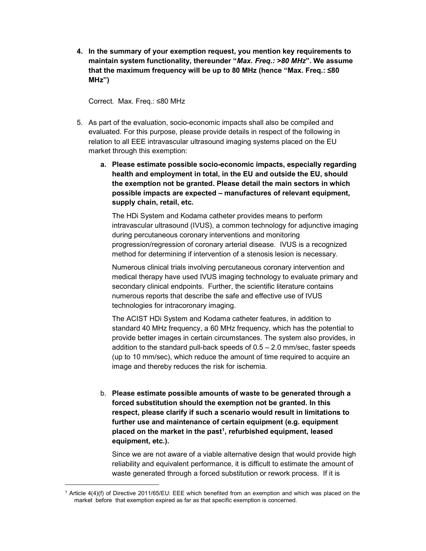4. In the summary of your exemption request, you mention key requirements to maintain system functionality, thereunder "Max. Freq.: >80 MHz". We assume that the maximum frequency will be up to 80 MHz (hence "Max. Freq.: ≤80 MHz")

Correct. Max. Freq.: ≤80 MHz

-

- 5. As part of the evaluation, socio-economic impacts shall also be compiled and evaluated. For this purpose, please provide details in respect of the following in relation to all EEE intravascular ultrasound imaging systems placed on the EU market through this exemption:
	- a. Please estimate possible socio-economic impacts, especially regarding health and employment in total, in the EU and outside the EU, should the exemption not be granted. Please detail the main sectors in which possible impacts are expected – manufactures of relevant equipment, supply chain, retail, etc.

The HDi System and Kodama catheter provides means to perform intravascular ultrasound (IVUS), a common technology for adjunctive imaging during percutaneous coronary interventions and monitoring progression/regression of coronary arterial disease. IVUS is a recognized method for determining if intervention of a stenosis lesion is necessary.

Numerous clinical trials involving percutaneous coronary intervention and medical therapy have used IVUS imaging technology to evaluate primary and secondary clinical endpoints. Further, the scientific literature contains numerous reports that describe the safe and effective use of IVUS technologies for intracoronary imaging.

The ACIST HDi System and Kodama catheter features, in addition to standard 40 MHz frequency, a 60 MHz frequency, which has the potential to provide better images in certain circumstances. The system also provides, in addition to the standard pull-back speeds of  $0.5 - 2.0$  mm/sec, faster speeds (up to 10 mm/sec), which reduce the amount of time required to acquire an image and thereby reduces the risk for ischemia.

b. Please estimate possible amounts of waste to be generated through a forced substitution should the exemption not be granted. In this respect, please clarify if such a scenario would result in limitations to further use and maintenance of certain equipment (e.g. equipment placed on the market in the past<sup>1</sup>, refurbished equipment, leased equipment, etc.).

Since we are not aware of a viable alternative design that would provide high reliability and equivalent performance, it is difficult to estimate the amount of waste generated through a forced substitution or rework process. If it is

<sup>1</sup> Article 4(4)(f) of Directive 2011/65/EU: EEE which benefited from an exemption and which was placed on the market before that exemption expired as far as that specific exemption is concerned.